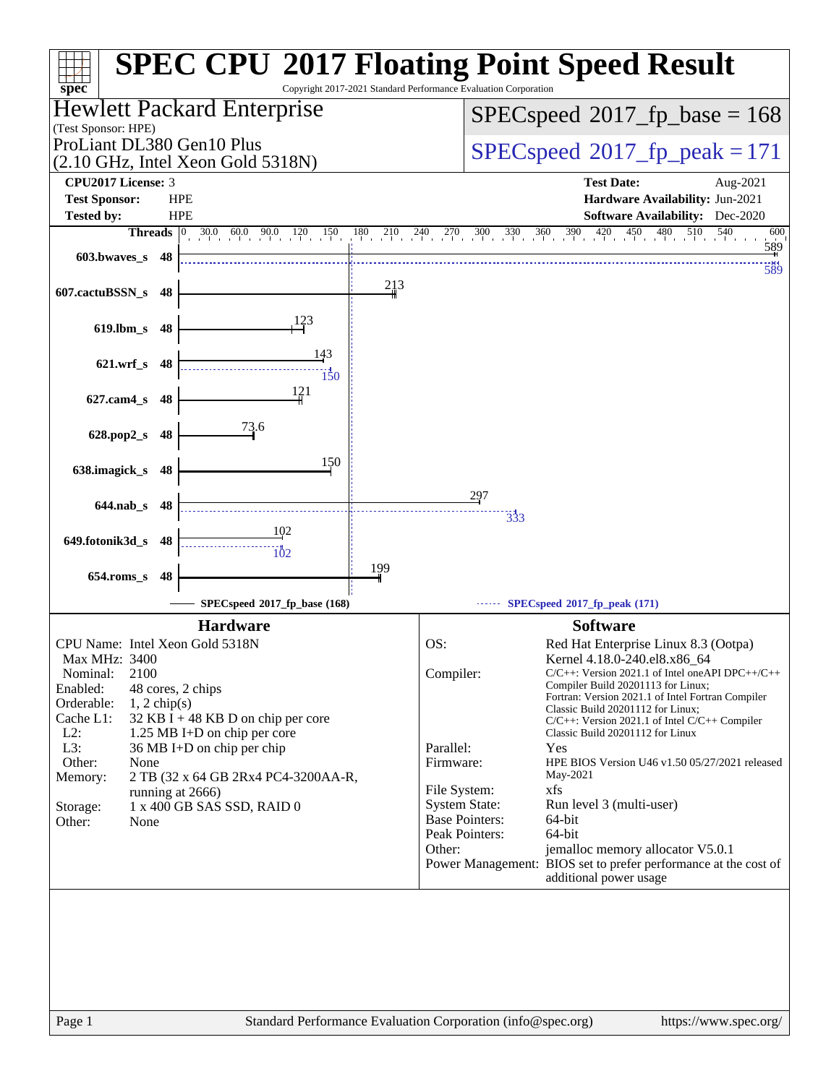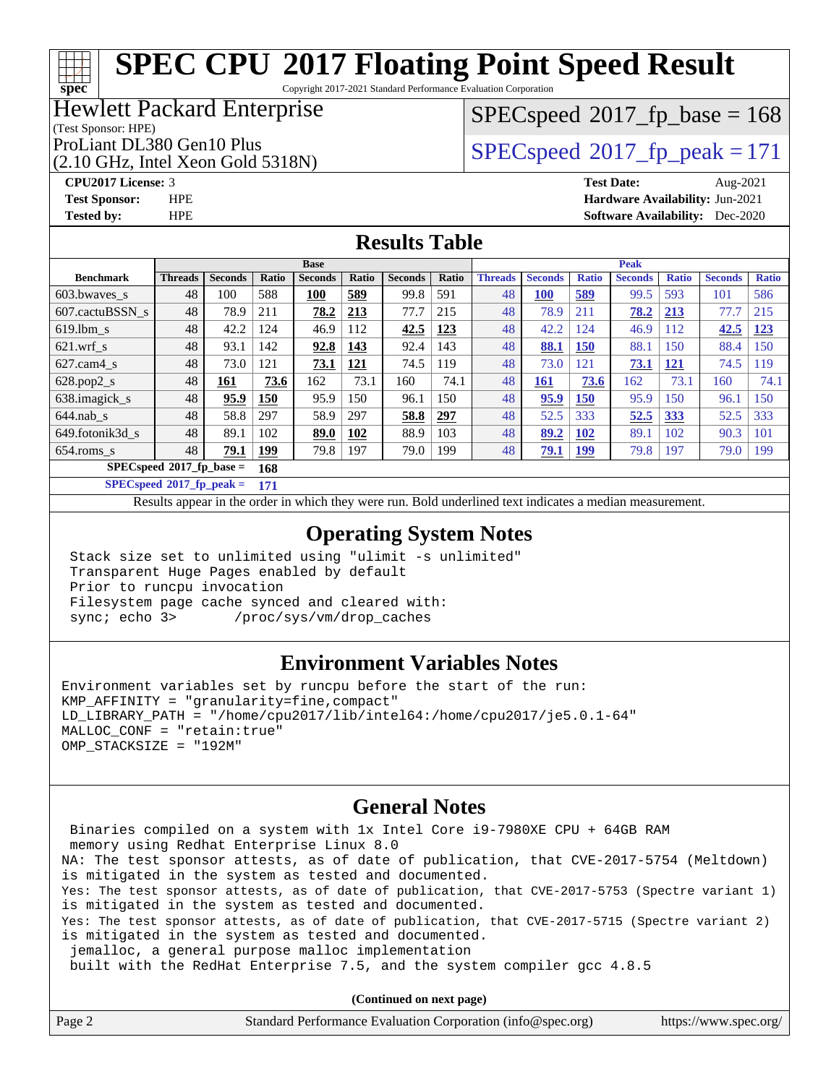Copyright 2017-2021 Standard Performance Evaluation Corporation

## Hewlett Packard Enterprise

(Test Sponsor: HPE)

ProLiant DL380 Gen10 Plus  $SPEC speed@2017$  fp\_peak = 171

(2.10 GHz, Intel Xeon Gold 5318N)

 $SPEC speed^{\circ}2017\_fp\_base = 168$ 

**[spec](http://www.spec.org/)**

**[CPU2017 License:](http://www.spec.org/auto/cpu2017/Docs/result-fields.html#CPU2017License)** 3 **[Test Date:](http://www.spec.org/auto/cpu2017/Docs/result-fields.html#TestDate)** Aug-2021 **[Test Sponsor:](http://www.spec.org/auto/cpu2017/Docs/result-fields.html#TestSponsor)** HPE **[Hardware Availability:](http://www.spec.org/auto/cpu2017/Docs/result-fields.html#HardwareAvailability)** Jun-2021 **[Tested by:](http://www.spec.org/auto/cpu2017/Docs/result-fields.html#Testedby)** HPE **[Software Availability:](http://www.spec.org/auto/cpu2017/Docs/result-fields.html#SoftwareAvailability)** Dec-2020

## **[Results Table](http://www.spec.org/auto/cpu2017/Docs/result-fields.html#ResultsTable)**

|                                    | <b>Base</b>    |                |              |                |              | <b>Peak</b>    |       |                |                |              |                |              |                |              |
|------------------------------------|----------------|----------------|--------------|----------------|--------------|----------------|-------|----------------|----------------|--------------|----------------|--------------|----------------|--------------|
| <b>Benchmark</b>                   | <b>Threads</b> | <b>Seconds</b> | <b>Ratio</b> | <b>Seconds</b> | <b>Ratio</b> | <b>Seconds</b> | Ratio | <b>Threads</b> | <b>Seconds</b> | <b>Ratio</b> | <b>Seconds</b> | <b>Ratio</b> | <b>Seconds</b> | <b>Ratio</b> |
| $603.bwaves$ s                     | 48             | 100            | 588          | 100            | 589          | 99.8           | 591   | 48             | 100            | 589          | 99.5           | 593          | 101            | 586          |
| 607.cactuBSSN s                    | 48             | 78.9           | 211          | 78.2           | 213          | 77.7           | 215   | 48             | 78.9           | 211          | 78.2           | 213          | 77.7           | 215          |
| $619.1$ bm s                       | 48             | 42.2           | 124          | 46.9           | 112          | 42.5           | 123   | 48             | 42.2           | 124          | 46.9           | 112          | 42.5           | 123          |
| $621$ .wrf s                       | 48             | 93.1           | 142          | 92.8           | 143          | 92.4           | 143   | 48             | 88.1           | 150          | 88.1           | 150          | 88.4           | 150          |
| $627$ .cam $4 \text{ s}$           | 48             | 73.0           | 121          | 73.1           | 121          | 74.5           | 119   | 48             | 73.0           | 121          | 73.1           | <u> 121</u>  | 74.5           | 119          |
| $628.pop2_s$                       | 48             | 161            | 73.6         | 162            | 73.1         | 160            | 74.1  | 48             | <u>161</u>     | 73.6         | 162            | 73.1         | 160            | 74.1         |
| 638.imagick_s                      | 48             | 95.9           | 150          | 95.9           | 50           | 96.1           | 150   | 48             | 95.9           | 150          | 95.9           | l 50         | 96.1           | 150          |
| $644$ .nab s                       | 48             | 58.8           | 297          | 58.9           | 297          | 58.8           | 297   | 48             | 52.5           | 333          | 52.5           | 333          | 52.5           | 333          |
| 649.fotonik3d s                    | 48             | 89.1           | 102          | 89.0           | 102          | 88.9           | 103   | 48             | 89.2           | 102          | 89.1           | 102          | 90.3           | 101          |
| $654$ .roms s                      | 48             | 79.1           | <b>199</b>   | 79.8           | 197          | 79.0           | 199   | 48             | 79.1           | 199          | 79.8           | 197          | 79.0           | 199          |
| $SPECspeed^*2017$ fp base =<br>168 |                |                |              |                |              |                |       |                |                |              |                |              |                |              |

**[SPECspeed](http://www.spec.org/auto/cpu2017/Docs/result-fields.html#SPECspeed2017fppeak)[2017\\_fp\\_peak =](http://www.spec.org/auto/cpu2017/Docs/result-fields.html#SPECspeed2017fppeak) 171**

Results appear in the [order in which they were run.](http://www.spec.org/auto/cpu2017/Docs/result-fields.html#RunOrder) Bold underlined text [indicates a median measurement](http://www.spec.org/auto/cpu2017/Docs/result-fields.html#Median).

## **[Operating System Notes](http://www.spec.org/auto/cpu2017/Docs/result-fields.html#OperatingSystemNotes)**

 Stack size set to unlimited using "ulimit -s unlimited" Transparent Huge Pages enabled by default Prior to runcpu invocation Filesystem page cache synced and cleared with: sync; echo 3> /proc/sys/vm/drop\_caches

## **[Environment Variables Notes](http://www.spec.org/auto/cpu2017/Docs/result-fields.html#EnvironmentVariablesNotes)**

Environment variables set by runcpu before the start of the run: KMP\_AFFINITY = "granularity=fine,compact" LD\_LIBRARY\_PATH = "/home/cpu2017/lib/intel64:/home/cpu2017/je5.0.1-64" MALLOC\_CONF = "retain:true" OMP\_STACKSIZE = "192M"

## **[General Notes](http://www.spec.org/auto/cpu2017/Docs/result-fields.html#GeneralNotes)**

 Binaries compiled on a system with 1x Intel Core i9-7980XE CPU + 64GB RAM memory using Redhat Enterprise Linux 8.0 NA: The test sponsor attests, as of date of publication, that CVE-2017-5754 (Meltdown) is mitigated in the system as tested and documented. Yes: The test sponsor attests, as of date of publication, that CVE-2017-5753 (Spectre variant 1) is mitigated in the system as tested and documented. Yes: The test sponsor attests, as of date of publication, that CVE-2017-5715 (Spectre variant 2) is mitigated in the system as tested and documented. jemalloc, a general purpose malloc implementation built with the RedHat Enterprise 7.5, and the system compiler gcc 4.8.5

**(Continued on next page)**

| Page 2 | Standard Performance Evaluation Corporation (info@spec.org) | https://www.spec.org/ |
|--------|-------------------------------------------------------------|-----------------------|
|        |                                                             |                       |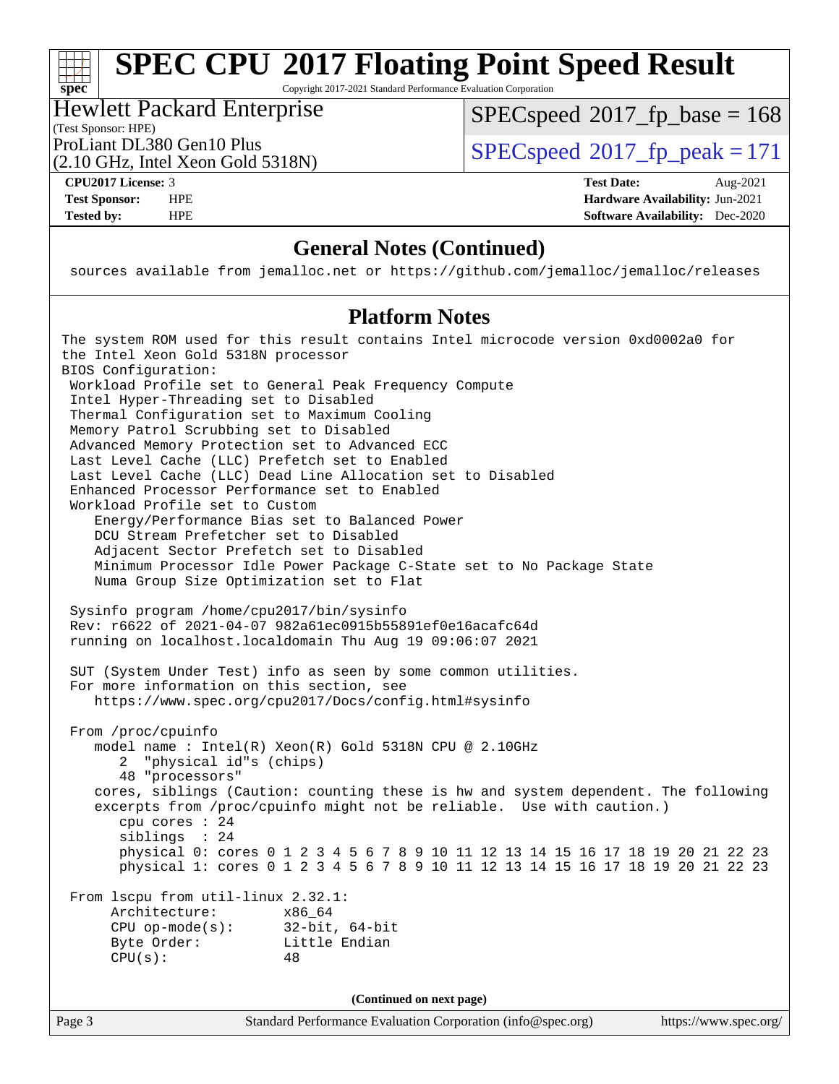Copyright 2017-2021 Standard Performance Evaluation Corporation

## Hewlett Packard Enterprise

[SPECspeed](http://www.spec.org/auto/cpu2017/Docs/result-fields.html#SPECspeed2017fpbase)<sup>®</sup>2017 fp base = 168

(Test Sponsor: HPE)

(2.10 GHz, Intel Xeon Gold 5318N)

ProLiant DL380 Gen10 Plus  $SPEC speed@2017$  fp\_peak = 171

**[spec](http://www.spec.org/)**

**[CPU2017 License:](http://www.spec.org/auto/cpu2017/Docs/result-fields.html#CPU2017License)** 3 **[Test Date:](http://www.spec.org/auto/cpu2017/Docs/result-fields.html#TestDate)** Aug-2021 **[Test Sponsor:](http://www.spec.org/auto/cpu2017/Docs/result-fields.html#TestSponsor)** HPE **[Hardware Availability:](http://www.spec.org/auto/cpu2017/Docs/result-fields.html#HardwareAvailability)** Jun-2021 **[Tested by:](http://www.spec.org/auto/cpu2017/Docs/result-fields.html#Testedby)** HPE **[Software Availability:](http://www.spec.org/auto/cpu2017/Docs/result-fields.html#SoftwareAvailability)** Dec-2020

## **[General Notes \(Continued\)](http://www.spec.org/auto/cpu2017/Docs/result-fields.html#GeneralNotes)**

sources available from jemalloc.net or <https://github.com/jemalloc/jemalloc/releases>

## **[Platform Notes](http://www.spec.org/auto/cpu2017/Docs/result-fields.html#PlatformNotes)**

The system ROM used for this result contains Intel microcode version 0xd0002a0 for the Intel Xeon Gold 5318N processor BIOS Configuration: Workload Profile set to General Peak Frequency Compute Intel Hyper-Threading set to Disabled Thermal Configuration set to Maximum Cooling Memory Patrol Scrubbing set to Disabled Advanced Memory Protection set to Advanced ECC Last Level Cache (LLC) Prefetch set to Enabled Last Level Cache (LLC) Dead Line Allocation set to Disabled Enhanced Processor Performance set to Enabled Workload Profile set to Custom Energy/Performance Bias set to Balanced Power DCU Stream Prefetcher set to Disabled Adjacent Sector Prefetch set to Disabled Minimum Processor Idle Power Package C-State set to No Package State Numa Group Size Optimization set to Flat Sysinfo program /home/cpu2017/bin/sysinfo Rev: r6622 of 2021-04-07 982a61ec0915b55891ef0e16acafc64d running on localhost.localdomain Thu Aug 19 09:06:07 2021 SUT (System Under Test) info as seen by some common utilities. For more information on this section, see <https://www.spec.org/cpu2017/Docs/config.html#sysinfo> From /proc/cpuinfo model name : Intel(R) Xeon(R) Gold 5318N CPU @ 2.10GHz 2 "physical id"s (chips) 48 "processors" cores, siblings (Caution: counting these is hw and system dependent. The following excerpts from /proc/cpuinfo might not be reliable. Use with caution.) cpu cores : 24 siblings : 24 physical 0: cores 0 1 2 3 4 5 6 7 8 9 10 11 12 13 14 15 16 17 18 19 20 21 22 23 physical 1: cores 0 1 2 3 4 5 6 7 8 9 10 11 12 13 14 15 16 17 18 19 20 21 22 23 From lscpu from util-linux 2.32.1: Architecture: x86\_64 CPU op-mode(s): 32-bit, 64-bit Byte Order: Little Endian  $CPU(s):$  48 **(Continued on next page)**

Page 3 Standard Performance Evaluation Corporation [\(info@spec.org\)](mailto:info@spec.org) <https://www.spec.org/>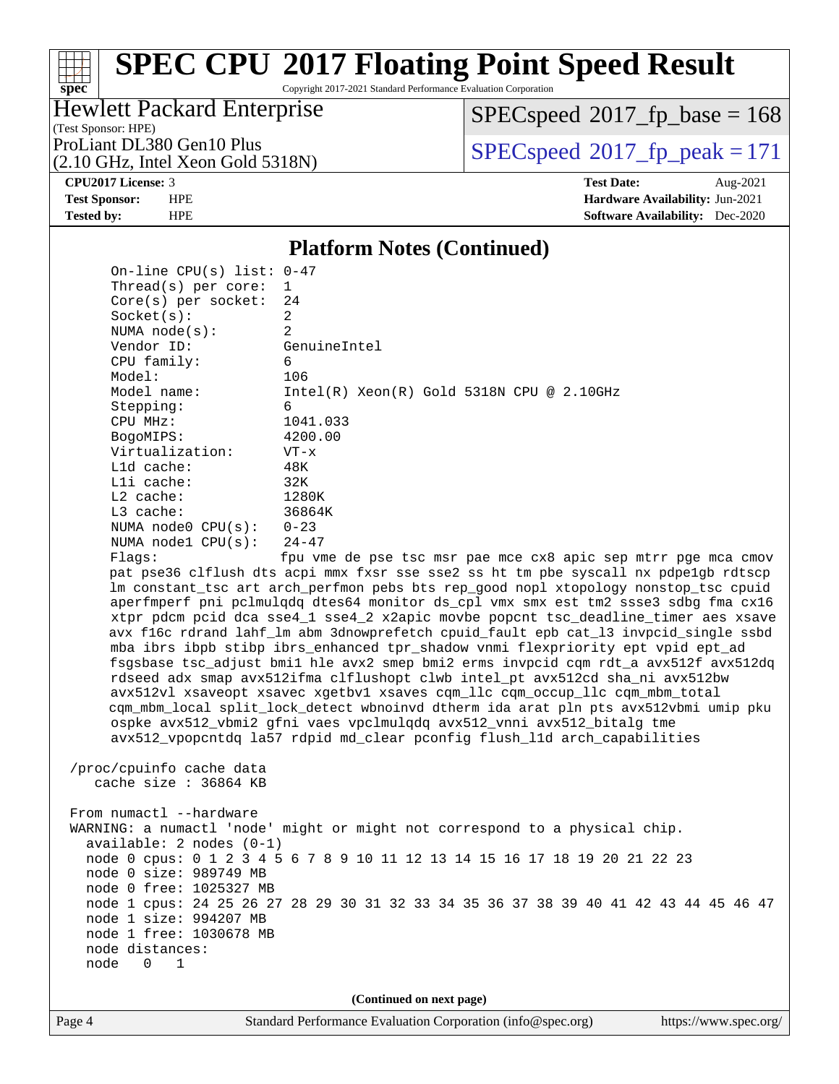Copyright 2017-2021 Standard Performance Evaluation Corporation

## Hewlett Packard Enterprise

[SPECspeed](http://www.spec.org/auto/cpu2017/Docs/result-fields.html#SPECspeed2017fpbase)<sup>®</sup>2017 fp base = 168

(Test Sponsor: HPE) (2.10 GHz, Intel Xeon Gold 5318N)

ProLiant DL380 Gen10 Plus  $\text{SPEC speed}^{\circ}2017\text{ }$  fp\_peak = 171

**[spec](http://www.spec.org/)**

**[CPU2017 License:](http://www.spec.org/auto/cpu2017/Docs/result-fields.html#CPU2017License)** 3 **[Test Date:](http://www.spec.org/auto/cpu2017/Docs/result-fields.html#TestDate)** Aug-2021 **[Test Sponsor:](http://www.spec.org/auto/cpu2017/Docs/result-fields.html#TestSponsor)** HPE **[Hardware Availability:](http://www.spec.org/auto/cpu2017/Docs/result-fields.html#HardwareAvailability)** Jun-2021 **[Tested by:](http://www.spec.org/auto/cpu2017/Docs/result-fields.html#Testedby)** HPE **[Software Availability:](http://www.spec.org/auto/cpu2017/Docs/result-fields.html#SoftwareAvailability)** Dec-2020

## **[Platform Notes \(Continued\)](http://www.spec.org/auto/cpu2017/Docs/result-fields.html#PlatformNotes)**

 On-line CPU(s) list: 0-47 Thread(s) per core: 1 Core(s) per socket: 24 Socket(s): 2 NUMA node(s): 2 Vendor ID: GenuineIntel CPU family: 6 Model: 106 Model name: Intel(R) Xeon(R) Gold 5318N CPU @ 2.10GHz Stepping: 6 CPU MHz: 1041.033 BogoMIPS: 4200.00 Virtualization: VT-x L1d cache: 48K L1i cache: 32K L2 cache: 1280K L3 cache: 36864K NUMA node0 CPU(s): 0-23 NUMA node1 CPU(s): 24-47 Flags: fpu vme de pse tsc msr pae mce cx8 apic sep mtrr pge mca cmov

 pat pse36 clflush dts acpi mmx fxsr sse sse2 ss ht tm pbe syscall nx pdpe1gb rdtscp lm constant\_tsc art arch\_perfmon pebs bts rep\_good nopl xtopology nonstop\_tsc cpuid aperfmperf pni pclmulqdq dtes64 monitor ds\_cpl vmx smx est tm2 ssse3 sdbg fma cx16 xtpr pdcm pcid dca sse4\_1 sse4\_2 x2apic movbe popcnt tsc\_deadline\_timer aes xsave avx f16c rdrand lahf\_lm abm 3dnowprefetch cpuid\_fault epb cat\_l3 invpcid\_single ssbd mba ibrs ibpb stibp ibrs\_enhanced tpr\_shadow vnmi flexpriority ept vpid ept\_ad fsgsbase tsc\_adjust bmi1 hle avx2 smep bmi2 erms invpcid cqm rdt\_a avx512f avx512dq rdseed adx smap avx512ifma clflushopt clwb intel\_pt avx512cd sha\_ni avx512bw avx512vl xsaveopt xsavec xgetbv1 xsaves cqm\_llc cqm\_occup\_llc cqm\_mbm\_total cqm\_mbm\_local split\_lock\_detect wbnoinvd dtherm ida arat pln pts avx512vbmi umip pku ospke avx512\_vbmi2 gfni vaes vpclmulqdq avx512\_vnni avx512\_bitalg tme avx512\_vpopcntdq la57 rdpid md\_clear pconfig flush\_l1d arch\_capabilities

 /proc/cpuinfo cache data cache size : 36864 KB

From numactl --hardware WARNING: a numactl 'node' might or might not correspond to a physical chip. available: 2 nodes (0-1) node 0 cpus: 0 1 2 3 4 5 6 7 8 9 10 11 12 13 14 15 16 17 18 19 20 21 22 23 node 0 size: 989749 MB node 0 free: 1025327 MB node 1 cpus: 24 25 26 27 28 29 30 31 32 33 34 35 36 37 38 39 40 41 42 43 44 45 46 47 node 1 size: 994207 MB node 1 free: 1030678 MB node distances: node 0 1

**(Continued on next page)**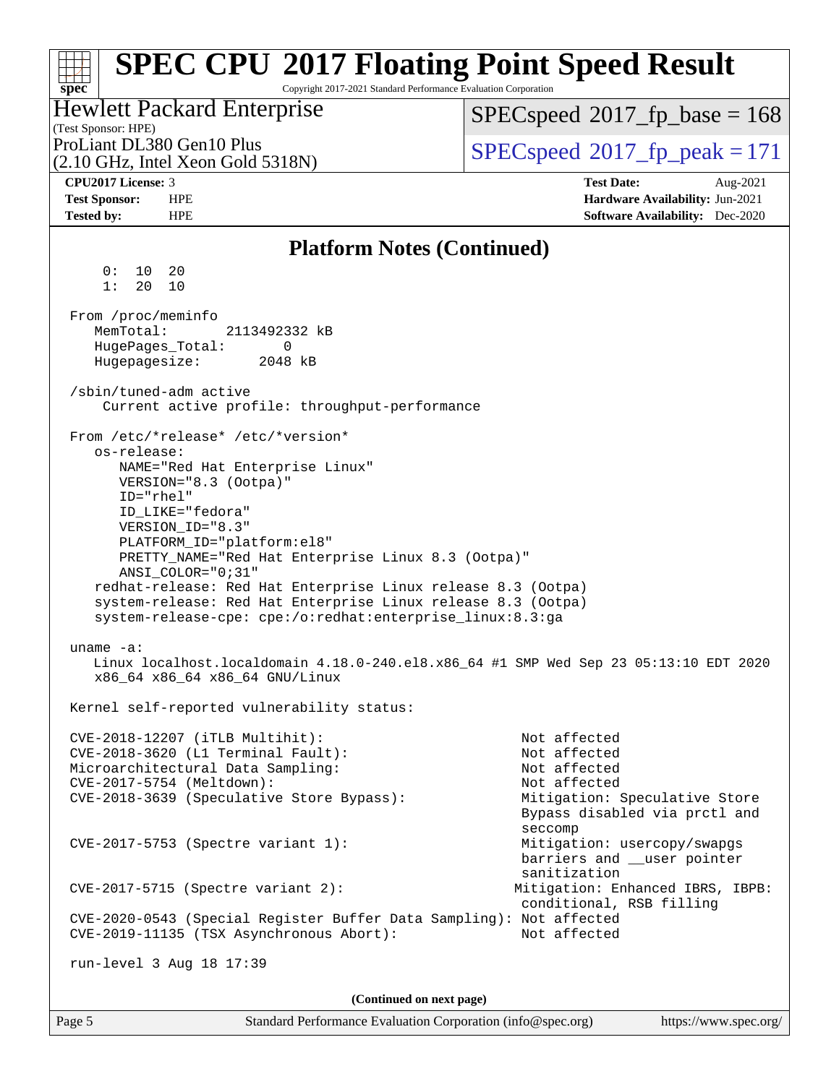#### Page 5 Standard Performance Evaluation Corporation [\(info@spec.org\)](mailto:info@spec.org) <https://www.spec.org/> **[spec](http://www.spec.org/) [SPEC CPU](http://www.spec.org/auto/cpu2017/Docs/result-fields.html#SPECCPU2017FloatingPointSpeedResult)[2017 Floating Point Speed Result](http://www.spec.org/auto/cpu2017/Docs/result-fields.html#SPECCPU2017FloatingPointSpeedResult)** Copyright 2017-2021 Standard Performance Evaluation Corporation (Test Sponsor: HPE) Hewlett Packard Enterprise (2.10 GHz, Intel Xeon Gold 5318N) ProLiant DL380 Gen10 Plus  $SPEC speed@2017$  fp\_peak = 171 [SPECspeed](http://www.spec.org/auto/cpu2017/Docs/result-fields.html#SPECspeed2017fpbase)<sup>®</sup>2017 fp base = 168 **[CPU2017 License:](http://www.spec.org/auto/cpu2017/Docs/result-fields.html#CPU2017License)** 3 **[Test Date:](http://www.spec.org/auto/cpu2017/Docs/result-fields.html#TestDate)** Aug-2021 **[Test Sponsor:](http://www.spec.org/auto/cpu2017/Docs/result-fields.html#TestSponsor)** HPE **[Hardware Availability:](http://www.spec.org/auto/cpu2017/Docs/result-fields.html#HardwareAvailability)** Jun-2021 **[Tested by:](http://www.spec.org/auto/cpu2017/Docs/result-fields.html#Testedby)** HPE **[Software Availability:](http://www.spec.org/auto/cpu2017/Docs/result-fields.html#SoftwareAvailability)** Dec-2020 **[Platform Notes \(Continued\)](http://www.spec.org/auto/cpu2017/Docs/result-fields.html#PlatformNotes)** 0: 10 20 1: 20 10 From /proc/meminfo MemTotal: 2113492332 kB HugePages\_Total: 0 Hugepagesize: 2048 kB /sbin/tuned-adm active Current active profile: throughput-performance From /etc/\*release\* /etc/\*version\* os-release: NAME="Red Hat Enterprise Linux" VERSION="8.3 (Ootpa)" ID="rhel" ID\_LIKE="fedora" VERSION\_ID="8.3" PLATFORM\_ID="platform:el8" PRETTY\_NAME="Red Hat Enterprise Linux 8.3 (Ootpa)" ANSI\_COLOR="0;31" redhat-release: Red Hat Enterprise Linux release 8.3 (Ootpa) system-release: Red Hat Enterprise Linux release 8.3 (Ootpa) system-release-cpe: cpe:/o:redhat:enterprise\_linux:8.3:ga uname -a: Linux localhost.localdomain 4.18.0-240.el8.x86\_64 #1 SMP Wed Sep 23 05:13:10 EDT 2020 x86\_64 x86\_64 x86\_64 GNU/Linux Kernel self-reported vulnerability status: CVE-2018-12207 (iTLB Multihit): Not affected CVE-2018-3620 (L1 Terminal Fault): Not affected Microarchitectural Data Sampling: Not affected CVE-2017-5754 (Meltdown): Not affected CVE-2018-3639 (Speculative Store Bypass): Mitigation: Speculative Store Bypass disabled via prctl and seccompany and the contract of the contract of the contract of the second seconds of the contract of the contract of the contract of the contract of the contract of the contract of the contract of the contract of the contr CVE-2017-5753 (Spectre variant 1): Mitigation: usercopy/swapgs barriers and \_\_user pointer sanitization CVE-2017-5715 (Spectre variant 2): Mitigation: Enhanced IBRS, IBPB: conditional, RSB filling CVE-2020-0543 (Special Register Buffer Data Sampling): Not affected CVE-2019-11135 (TSX Asynchronous Abort): Not affected run-level 3 Aug 18 17:39 **(Continued on next page)**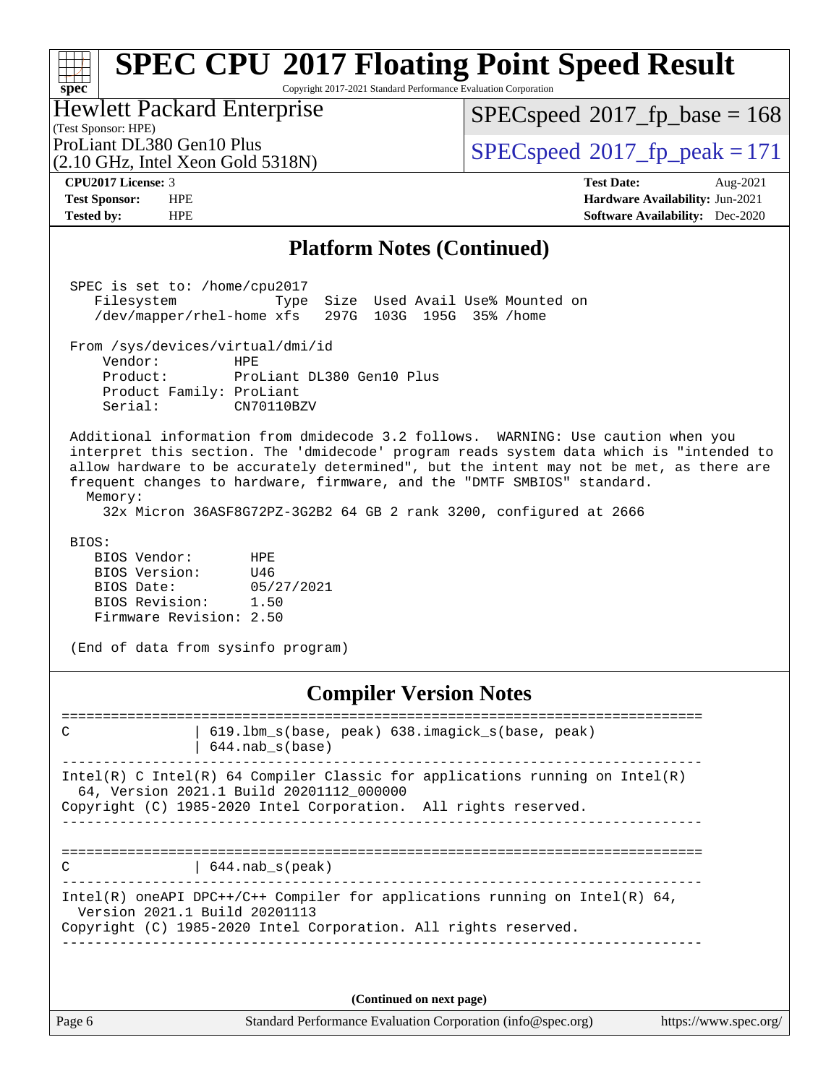#### **[spec](http://www.spec.org/) [SPEC CPU](http://www.spec.org/auto/cpu2017/Docs/result-fields.html#SPECCPU2017FloatingPointSpeedResult)[2017 Floating Point Speed Result](http://www.spec.org/auto/cpu2017/Docs/result-fields.html#SPECCPU2017FloatingPointSpeedResult)** Copyright 2017-2021 Standard Performance Evaluation Corporation Hewlett Packard Enterprise

(Test Sponsor: HPE)

[SPECspeed](http://www.spec.org/auto/cpu2017/Docs/result-fields.html#SPECspeed2017fpbase)<sup>®</sup>2017 fp base = 168

(2.10 GHz, Intel Xeon Gold 5318N)

ProLiant DL380 Gen10 Plus  $SPEC speed@2017$  fp\_peak = 171

**[CPU2017 License:](http://www.spec.org/auto/cpu2017/Docs/result-fields.html#CPU2017License)** 3 **[Test Date:](http://www.spec.org/auto/cpu2017/Docs/result-fields.html#TestDate)** Aug-2021 **[Test Sponsor:](http://www.spec.org/auto/cpu2017/Docs/result-fields.html#TestSponsor)** HPE **[Hardware Availability:](http://www.spec.org/auto/cpu2017/Docs/result-fields.html#HardwareAvailability)** Jun-2021 **[Tested by:](http://www.spec.org/auto/cpu2017/Docs/result-fields.html#Testedby)** HPE **[Software Availability:](http://www.spec.org/auto/cpu2017/Docs/result-fields.html#SoftwareAvailability)** Dec-2020

## **[Platform Notes \(Continued\)](http://www.spec.org/auto/cpu2017/Docs/result-fields.html#PlatformNotes)**

 SPEC is set to: /home/cpu2017 Filesystem Type Size Used Avail Use% Mounted on /dev/mapper/rhel-home xfs 297G 103G 195G 35% /home From /sys/devices/virtual/dmi/id Vendor: HPE Product: ProLiant DL380 Gen10 Plus Product Family: ProLiant<br>Serial: CN70110BZV Serial: Additional information from dmidecode 3.2 follows. WARNING: Use caution when you

 interpret this section. The 'dmidecode' program reads system data which is "intended to allow hardware to be accurately determined", but the intent may not be met, as there are frequent changes to hardware, firmware, and the "DMTF SMBIOS" standard. Memory:

32x Micron 36ASF8G72PZ-3G2B2 64 GB 2 rank 3200, configured at 2666

BIOS:

 BIOS Vendor: HPE BIOS Version: U46 BIOS Date: 05/27/2021<br>BIOS Revision: 1.50 BIOS Revision: Firmware Revision: 2.50

(End of data from sysinfo program)

## **[Compiler Version Notes](http://www.spec.org/auto/cpu2017/Docs/result-fields.html#CompilerVersionNotes)**

============================================================================== C | 619.1bm\_s(base, peak) 638.imagick\_s(base, peak) | 644.nab\_s(base) ------------------------------------------------------------------------------ Intel(R) C Intel(R) 64 Compiler Classic for applications running on Intel(R) 64, Version 2021.1 Build 20201112\_000000 Copyright (C) 1985-2020 Intel Corporation. All rights reserved. ------------------------------------------------------------------------------ ============================================================================== C 1644.nab\_s(peak) ------------------------------------------------------------------------------ Intel(R) oneAPI DPC++/C++ Compiler for applications running on Intel(R)  $64$ , Version 2021.1 Build 20201113 Copyright (C) 1985-2020 Intel Corporation. All rights reserved. ------------------------------------------------------------------------------

**(Continued on next page)**

Page 6 Standard Performance Evaluation Corporation [\(info@spec.org\)](mailto:info@spec.org) <https://www.spec.org/>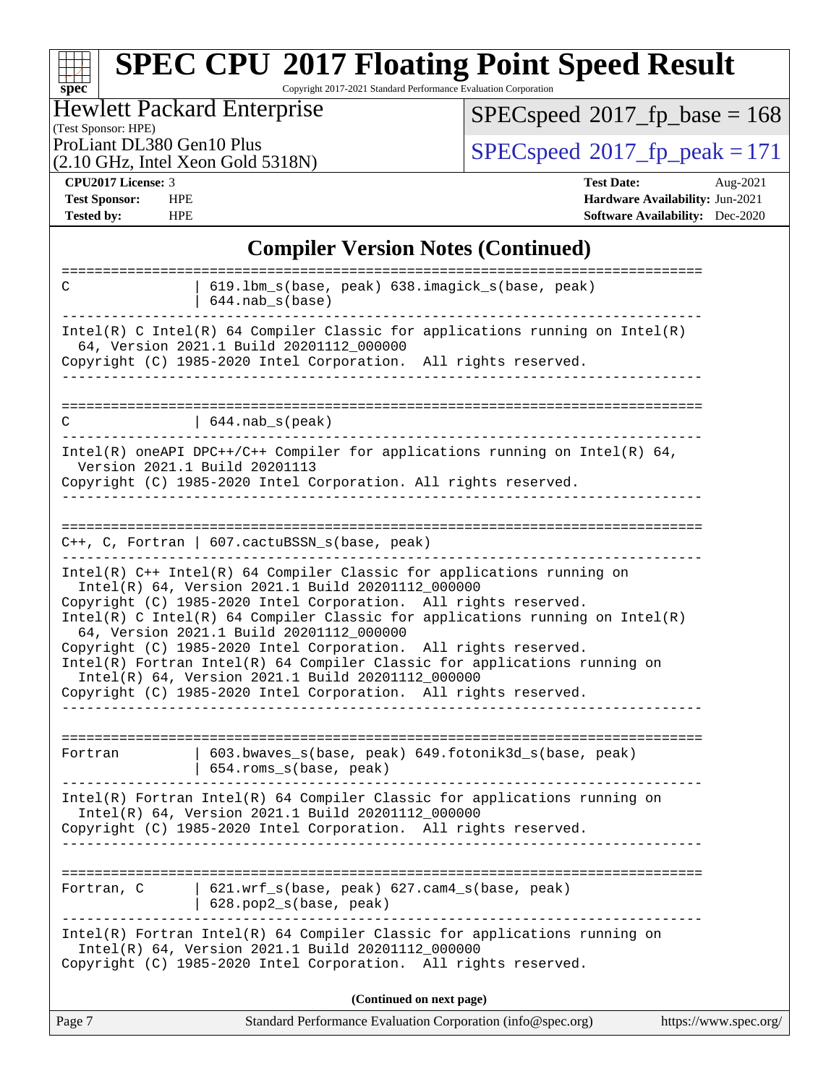### **[spec](http://www.spec.org/) [SPEC CPU](http://www.spec.org/auto/cpu2017/Docs/result-fields.html#SPECCPU2017FloatingPointSpeedResult)[2017 Floating Point Speed Result](http://www.spec.org/auto/cpu2017/Docs/result-fields.html#SPECCPU2017FloatingPointSpeedResult)** Copyright 2017-2021 Standard Performance Evaluation Corporation

## Hewlett Packard Enterprise

 $SPEC speed$ <sup>®</sup> $2017$ \_fp\_base = 168

(Test Sponsor: HPE)

(2.10 GHz, Intel Xeon Gold 5318N)

ProLiant DL380 Gen10 Plus  $\begin{array}{c} \text{SPEC speed} \text{\textdegree}2017 \text{ fp\_peak} = 171 \end{array}$ 

**[CPU2017 License:](http://www.spec.org/auto/cpu2017/Docs/result-fields.html#CPU2017License)** 3 **[Test Date:](http://www.spec.org/auto/cpu2017/Docs/result-fields.html#TestDate)** Aug-2021 **[Test Sponsor:](http://www.spec.org/auto/cpu2017/Docs/result-fields.html#TestSponsor)** HPE **[Hardware Availability:](http://www.spec.org/auto/cpu2017/Docs/result-fields.html#HardwareAvailability)** Jun-2021 **[Tested by:](http://www.spec.org/auto/cpu2017/Docs/result-fields.html#Testedby)** HPE **[Software Availability:](http://www.spec.org/auto/cpu2017/Docs/result-fields.html#SoftwareAvailability)** Dec-2020

## **[Compiler Version Notes \(Continued\)](http://www.spec.org/auto/cpu2017/Docs/result-fields.html#CompilerVersionNotes)**

| ======================================<br>$C++$ , C, Fortran   607.cactuBSSN_s(base, peak)                                                                                                                                                                                                                                                                                                                                                                                                                                                                                                        |  |
|---------------------------------------------------------------------------------------------------------------------------------------------------------------------------------------------------------------------------------------------------------------------------------------------------------------------------------------------------------------------------------------------------------------------------------------------------------------------------------------------------------------------------------------------------------------------------------------------------|--|
| Intel(R) C++ Intel(R) 64 Compiler Classic for applications running on<br>Intel(R) 64, Version 2021.1 Build 20201112_000000<br>Copyright (C) 1985-2020 Intel Corporation. All rights reserved.<br>Intel(R) C Intel(R) 64 Compiler Classic for applications running on Intel(R)<br>64, Version 2021.1 Build 20201112_000000<br>Copyright (C) 1985-2020 Intel Corporation. All rights reserved.<br>Intel(R) Fortran Intel(R) 64 Compiler Classic for applications running on<br>Intel(R) 64, Version 2021.1 Build 20201112_000000<br>Copyright (C) 1985-2020 Intel Corporation. All rights reserved. |  |
| 603.bwaves_s(base, peak) 649.fotonik3d_s(base, peak)<br>Fortran<br>654.roms_s(base, peak)                                                                                                                                                                                                                                                                                                                                                                                                                                                                                                         |  |
| Intel(R) Fortran Intel(R) 64 Compiler Classic for applications running on<br>Intel(R) 64, Version 2021.1 Build 20201112_000000<br>Copyright (C) 1985-2020 Intel Corporation. All rights reserved.                                                                                                                                                                                                                                                                                                                                                                                                 |  |
| 621.wrf_s(base, peak) 627.cam4_s(base, peak)<br>Fortran, C<br>628.pop2_s(base, peak)                                                                                                                                                                                                                                                                                                                                                                                                                                                                                                              |  |
| Intel(R) Fortran Intel(R) 64 Compiler Classic for applications running on<br>Intel(R) 64, Version 2021.1 Build 20201112_000000<br>Copyright (C) 1985-2020 Intel Corporation. All rights reserved.                                                                                                                                                                                                                                                                                                                                                                                                 |  |
| (Continued on next page)                                                                                                                                                                                                                                                                                                                                                                                                                                                                                                                                                                          |  |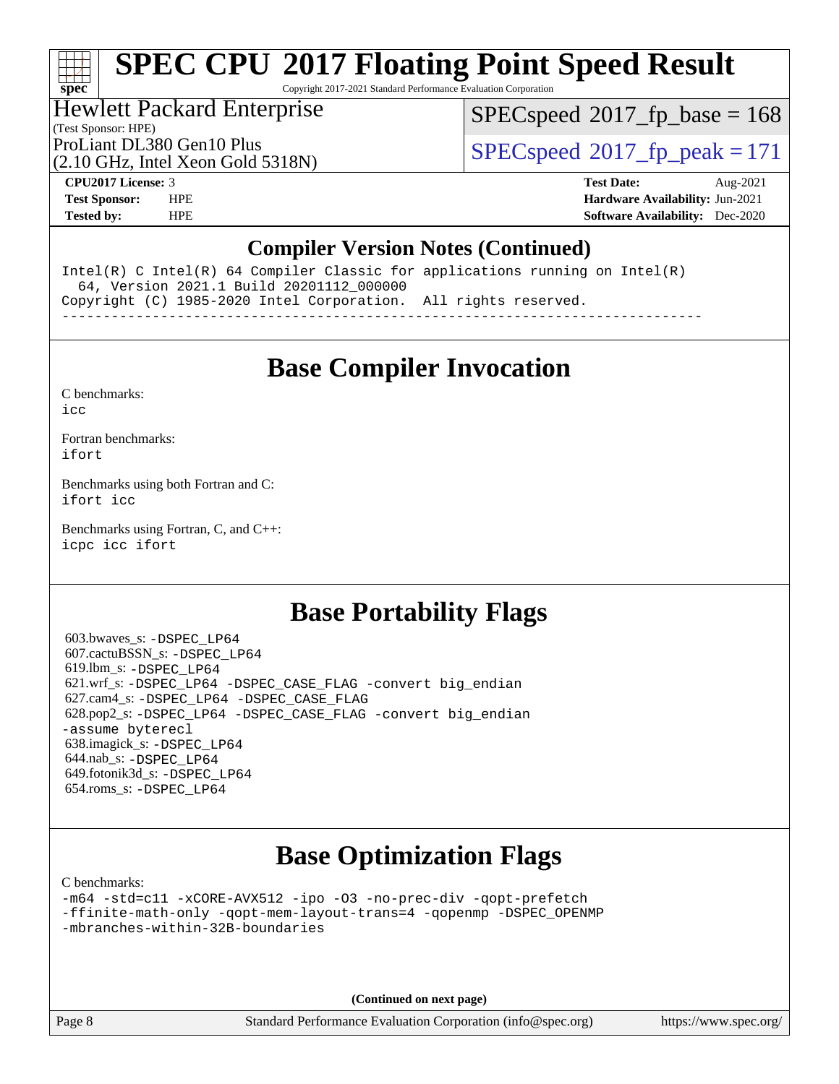Copyright 2017-2021 Standard Performance Evaluation Corporation

## Hewlett Packard Enterprise

[SPECspeed](http://www.spec.org/auto/cpu2017/Docs/result-fields.html#SPECspeed2017fpbase)<sup>®</sup>2017 fp base = 168

### (Test Sponsor: HPE)

(2.10 GHz, Intel Xeon Gold 5318N)

ProLiant DL380 Gen10 Plus  $SPEC speed@2017$  fp\_peak = 171

**[spec](http://www.spec.org/)**

**[CPU2017 License:](http://www.spec.org/auto/cpu2017/Docs/result-fields.html#CPU2017License)** 3 **[Test Date:](http://www.spec.org/auto/cpu2017/Docs/result-fields.html#TestDate)** Aug-2021 **[Test Sponsor:](http://www.spec.org/auto/cpu2017/Docs/result-fields.html#TestSponsor)** HPE **[Hardware Availability:](http://www.spec.org/auto/cpu2017/Docs/result-fields.html#HardwareAvailability)** Jun-2021 **[Tested by:](http://www.spec.org/auto/cpu2017/Docs/result-fields.html#Testedby)** HPE **[Software Availability:](http://www.spec.org/auto/cpu2017/Docs/result-fields.html#SoftwareAvailability)** Dec-2020

## **[Compiler Version Notes \(Continued\)](http://www.spec.org/auto/cpu2017/Docs/result-fields.html#CompilerVersionNotes)**

Intel(R) C Intel(R) 64 Compiler Classic for applications running on Intel(R) 64, Version 2021.1 Build 20201112\_000000 Copyright (C) 1985-2020 Intel Corporation. All rights reserved. ------------------------------------------------------------------------------

**[Base Compiler Invocation](http://www.spec.org/auto/cpu2017/Docs/result-fields.html#BaseCompilerInvocation)**

[C benchmarks](http://www.spec.org/auto/cpu2017/Docs/result-fields.html#Cbenchmarks):

[icc](http://www.spec.org/cpu2017/results/res2021q3/cpu2017-20210830-29030.flags.html#user_CCbase_intel_icc_66fc1ee009f7361af1fbd72ca7dcefbb700085f36577c54f309893dd4ec40d12360134090235512931783d35fd58c0460139e722d5067c5574d8eaf2b3e37e92)

[Fortran benchmarks](http://www.spec.org/auto/cpu2017/Docs/result-fields.html#Fortranbenchmarks): [ifort](http://www.spec.org/cpu2017/results/res2021q3/cpu2017-20210830-29030.flags.html#user_FCbase_intel_ifort_8111460550e3ca792625aed983ce982f94888b8b503583aa7ba2b8303487b4d8a21a13e7191a45c5fd58ff318f48f9492884d4413fa793fd88dd292cad7027ca)

[Benchmarks using both Fortran and C](http://www.spec.org/auto/cpu2017/Docs/result-fields.html#BenchmarksusingbothFortranandC): [ifort](http://www.spec.org/cpu2017/results/res2021q3/cpu2017-20210830-29030.flags.html#user_CC_FCbase_intel_ifort_8111460550e3ca792625aed983ce982f94888b8b503583aa7ba2b8303487b4d8a21a13e7191a45c5fd58ff318f48f9492884d4413fa793fd88dd292cad7027ca) [icc](http://www.spec.org/cpu2017/results/res2021q3/cpu2017-20210830-29030.flags.html#user_CC_FCbase_intel_icc_66fc1ee009f7361af1fbd72ca7dcefbb700085f36577c54f309893dd4ec40d12360134090235512931783d35fd58c0460139e722d5067c5574d8eaf2b3e37e92)

[Benchmarks using Fortran, C, and C++:](http://www.spec.org/auto/cpu2017/Docs/result-fields.html#BenchmarksusingFortranCandCXX) [icpc](http://www.spec.org/cpu2017/results/res2021q3/cpu2017-20210830-29030.flags.html#user_CC_CXX_FCbase_intel_icpc_c510b6838c7f56d33e37e94d029a35b4a7bccf4766a728ee175e80a419847e808290a9b78be685c44ab727ea267ec2f070ec5dc83b407c0218cded6866a35d07) [icc](http://www.spec.org/cpu2017/results/res2021q3/cpu2017-20210830-29030.flags.html#user_CC_CXX_FCbase_intel_icc_66fc1ee009f7361af1fbd72ca7dcefbb700085f36577c54f309893dd4ec40d12360134090235512931783d35fd58c0460139e722d5067c5574d8eaf2b3e37e92) [ifort](http://www.spec.org/cpu2017/results/res2021q3/cpu2017-20210830-29030.flags.html#user_CC_CXX_FCbase_intel_ifort_8111460550e3ca792625aed983ce982f94888b8b503583aa7ba2b8303487b4d8a21a13e7191a45c5fd58ff318f48f9492884d4413fa793fd88dd292cad7027ca)

## **[Base Portability Flags](http://www.spec.org/auto/cpu2017/Docs/result-fields.html#BasePortabilityFlags)**

 603.bwaves\_s: [-DSPEC\\_LP64](http://www.spec.org/cpu2017/results/res2021q3/cpu2017-20210830-29030.flags.html#suite_basePORTABILITY603_bwaves_s_DSPEC_LP64) 607.cactuBSSN\_s: [-DSPEC\\_LP64](http://www.spec.org/cpu2017/results/res2021q3/cpu2017-20210830-29030.flags.html#suite_basePORTABILITY607_cactuBSSN_s_DSPEC_LP64) 619.lbm\_s: [-DSPEC\\_LP64](http://www.spec.org/cpu2017/results/res2021q3/cpu2017-20210830-29030.flags.html#suite_basePORTABILITY619_lbm_s_DSPEC_LP64) 621.wrf\_s: [-DSPEC\\_LP64](http://www.spec.org/cpu2017/results/res2021q3/cpu2017-20210830-29030.flags.html#suite_basePORTABILITY621_wrf_s_DSPEC_LP64) [-DSPEC\\_CASE\\_FLAG](http://www.spec.org/cpu2017/results/res2021q3/cpu2017-20210830-29030.flags.html#b621.wrf_s_baseCPORTABILITY_DSPEC_CASE_FLAG) [-convert big\\_endian](http://www.spec.org/cpu2017/results/res2021q3/cpu2017-20210830-29030.flags.html#user_baseFPORTABILITY621_wrf_s_convert_big_endian_c3194028bc08c63ac5d04de18c48ce6d347e4e562e8892b8bdbdc0214820426deb8554edfa529a3fb25a586e65a3d812c835984020483e7e73212c4d31a38223) 627.cam4\_s: [-DSPEC\\_LP64](http://www.spec.org/cpu2017/results/res2021q3/cpu2017-20210830-29030.flags.html#suite_basePORTABILITY627_cam4_s_DSPEC_LP64) [-DSPEC\\_CASE\\_FLAG](http://www.spec.org/cpu2017/results/res2021q3/cpu2017-20210830-29030.flags.html#b627.cam4_s_baseCPORTABILITY_DSPEC_CASE_FLAG) 628.pop2\_s: [-DSPEC\\_LP64](http://www.spec.org/cpu2017/results/res2021q3/cpu2017-20210830-29030.flags.html#suite_basePORTABILITY628_pop2_s_DSPEC_LP64) [-DSPEC\\_CASE\\_FLAG](http://www.spec.org/cpu2017/results/res2021q3/cpu2017-20210830-29030.flags.html#b628.pop2_s_baseCPORTABILITY_DSPEC_CASE_FLAG) [-convert big\\_endian](http://www.spec.org/cpu2017/results/res2021q3/cpu2017-20210830-29030.flags.html#user_baseFPORTABILITY628_pop2_s_convert_big_endian_c3194028bc08c63ac5d04de18c48ce6d347e4e562e8892b8bdbdc0214820426deb8554edfa529a3fb25a586e65a3d812c835984020483e7e73212c4d31a38223) [-assume byterecl](http://www.spec.org/cpu2017/results/res2021q3/cpu2017-20210830-29030.flags.html#user_baseFPORTABILITY628_pop2_s_assume_byterecl_7e47d18b9513cf18525430bbf0f2177aa9bf368bc7a059c09b2c06a34b53bd3447c950d3f8d6c70e3faf3a05c8557d66a5798b567902e8849adc142926523472) 638.imagick\_s: [-DSPEC\\_LP64](http://www.spec.org/cpu2017/results/res2021q3/cpu2017-20210830-29030.flags.html#suite_basePORTABILITY638_imagick_s_DSPEC_LP64) 644.nab\_s: [-DSPEC\\_LP64](http://www.spec.org/cpu2017/results/res2021q3/cpu2017-20210830-29030.flags.html#suite_basePORTABILITY644_nab_s_DSPEC_LP64) 649.fotonik3d\_s: [-DSPEC\\_LP64](http://www.spec.org/cpu2017/results/res2021q3/cpu2017-20210830-29030.flags.html#suite_basePORTABILITY649_fotonik3d_s_DSPEC_LP64) 654.roms\_s: [-DSPEC\\_LP64](http://www.spec.org/cpu2017/results/res2021q3/cpu2017-20210830-29030.flags.html#suite_basePORTABILITY654_roms_s_DSPEC_LP64)

# **[Base Optimization Flags](http://www.spec.org/auto/cpu2017/Docs/result-fields.html#BaseOptimizationFlags)**

[C benchmarks](http://www.spec.org/auto/cpu2017/Docs/result-fields.html#Cbenchmarks):

[-m64](http://www.spec.org/cpu2017/results/res2021q3/cpu2017-20210830-29030.flags.html#user_CCbase_m64-icc) [-std=c11](http://www.spec.org/cpu2017/results/res2021q3/cpu2017-20210830-29030.flags.html#user_CCbase_std-icc-std_0e1c27790398a4642dfca32ffe6c27b5796f9c2d2676156f2e42c9c44eaad0c049b1cdb667a270c34d979996257aeb8fc440bfb01818dbc9357bd9d174cb8524) [-xCORE-AVX512](http://www.spec.org/cpu2017/results/res2021q3/cpu2017-20210830-29030.flags.html#user_CCbase_f-xCORE-AVX512) [-ipo](http://www.spec.org/cpu2017/results/res2021q3/cpu2017-20210830-29030.flags.html#user_CCbase_f-ipo) [-O3](http://www.spec.org/cpu2017/results/res2021q3/cpu2017-20210830-29030.flags.html#user_CCbase_f-O3) [-no-prec-div](http://www.spec.org/cpu2017/results/res2021q3/cpu2017-20210830-29030.flags.html#user_CCbase_f-no-prec-div) [-qopt-prefetch](http://www.spec.org/cpu2017/results/res2021q3/cpu2017-20210830-29030.flags.html#user_CCbase_f-qopt-prefetch) [-ffinite-math-only](http://www.spec.org/cpu2017/results/res2021q3/cpu2017-20210830-29030.flags.html#user_CCbase_f_finite_math_only_cb91587bd2077682c4b38af759c288ed7c732db004271a9512da14a4f8007909a5f1427ecbf1a0fb78ff2a814402c6114ac565ca162485bbcae155b5e4258871) [-qopt-mem-layout-trans=4](http://www.spec.org/cpu2017/results/res2021q3/cpu2017-20210830-29030.flags.html#user_CCbase_f-qopt-mem-layout-trans_fa39e755916c150a61361b7846f310bcdf6f04e385ef281cadf3647acec3f0ae266d1a1d22d972a7087a248fd4e6ca390a3634700869573d231a252c784941a8) [-qopenmp](http://www.spec.org/cpu2017/results/res2021q3/cpu2017-20210830-29030.flags.html#user_CCbase_qopenmp_16be0c44f24f464004c6784a7acb94aca937f053568ce72f94b139a11c7c168634a55f6653758ddd83bcf7b8463e8028bb0b48b77bcddc6b78d5d95bb1df2967) [-DSPEC\\_OPENMP](http://www.spec.org/cpu2017/results/res2021q3/cpu2017-20210830-29030.flags.html#suite_CCbase_DSPEC_OPENMP) [-mbranches-within-32B-boundaries](http://www.spec.org/cpu2017/results/res2021q3/cpu2017-20210830-29030.flags.html#user_CCbase_f-mbranches-within-32B-boundaries)

**(Continued on next page)**

Page 8 Standard Performance Evaluation Corporation [\(info@spec.org\)](mailto:info@spec.org) <https://www.spec.org/>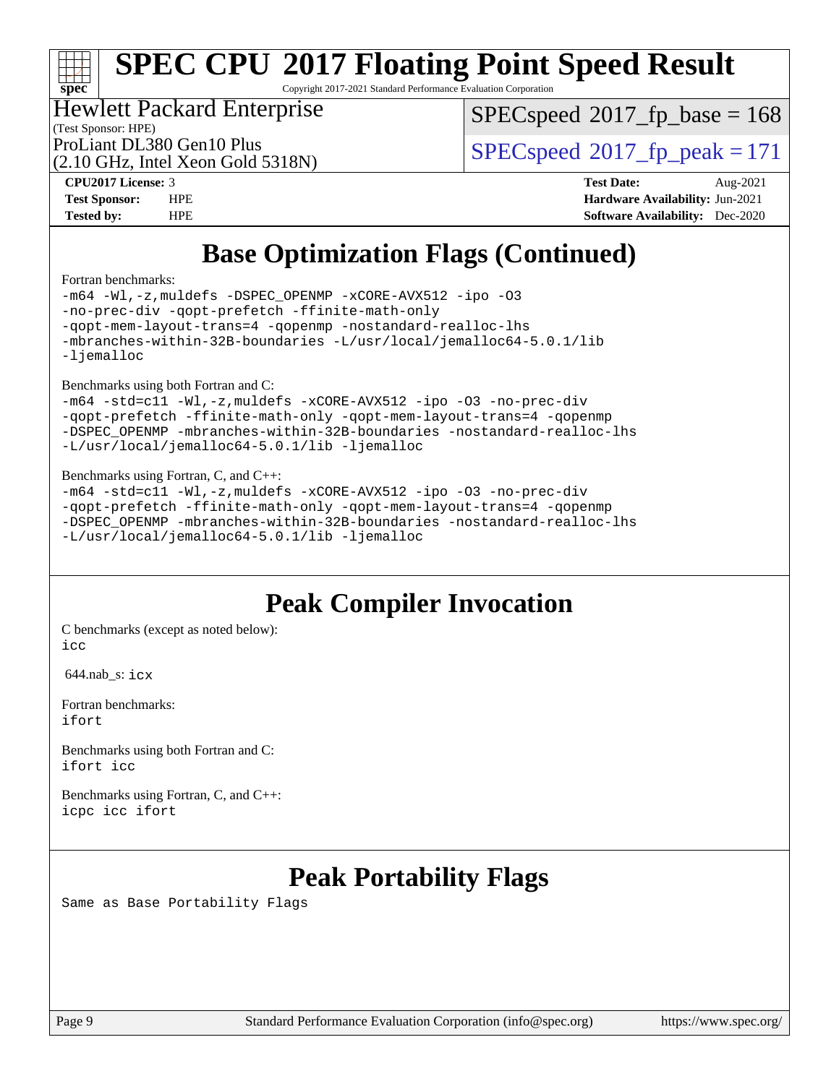# **[spec](http://www.spec.org/)**

# **[SPEC CPU](http://www.spec.org/auto/cpu2017/Docs/result-fields.html#SPECCPU2017FloatingPointSpeedResult)[2017 Floating Point Speed Result](http://www.spec.org/auto/cpu2017/Docs/result-fields.html#SPECCPU2017FloatingPointSpeedResult)**

Copyright 2017-2021 Standard Performance Evaluation Corporation

## Hewlett Packard Enterprise

[SPECspeed](http://www.spec.org/auto/cpu2017/Docs/result-fields.html#SPECspeed2017fpbase)<sup>®</sup>2017 fp base = 168

(Test Sponsor: HPE)

(2.10 GHz, Intel Xeon Gold 5318N)

ProLiant DL380 Gen10 Plus  $\text{SPEC speed}^{\circ}2017\text{ }$  fp\_peak = 171

**[CPU2017 License:](http://www.spec.org/auto/cpu2017/Docs/result-fields.html#CPU2017License)** 3 **[Test Date:](http://www.spec.org/auto/cpu2017/Docs/result-fields.html#TestDate)** Aug-2021 **[Test Sponsor:](http://www.spec.org/auto/cpu2017/Docs/result-fields.html#TestSponsor)** HPE **[Hardware Availability:](http://www.spec.org/auto/cpu2017/Docs/result-fields.html#HardwareAvailability)** Jun-2021 **[Tested by:](http://www.spec.org/auto/cpu2017/Docs/result-fields.html#Testedby)** HPE **[Software Availability:](http://www.spec.org/auto/cpu2017/Docs/result-fields.html#SoftwareAvailability)** Dec-2020

# **[Base Optimization Flags \(Continued\)](http://www.spec.org/auto/cpu2017/Docs/result-fields.html#BaseOptimizationFlags)**

[Fortran benchmarks](http://www.spec.org/auto/cpu2017/Docs/result-fields.html#Fortranbenchmarks):

[-m64](http://www.spec.org/cpu2017/results/res2021q3/cpu2017-20210830-29030.flags.html#user_FCbase_m64-icc) [-Wl,-z,muldefs](http://www.spec.org/cpu2017/results/res2021q3/cpu2017-20210830-29030.flags.html#user_FCbase_link_force_multiple1_b4cbdb97b34bdee9ceefcfe54f4c8ea74255f0b02a4b23e853cdb0e18eb4525ac79b5a88067c842dd0ee6996c24547a27a4b99331201badda8798ef8a743f577) [-DSPEC\\_OPENMP](http://www.spec.org/cpu2017/results/res2021q3/cpu2017-20210830-29030.flags.html#suite_FCbase_DSPEC_OPENMP) [-xCORE-AVX512](http://www.spec.org/cpu2017/results/res2021q3/cpu2017-20210830-29030.flags.html#user_FCbase_f-xCORE-AVX512) [-ipo](http://www.spec.org/cpu2017/results/res2021q3/cpu2017-20210830-29030.flags.html#user_FCbase_f-ipo) [-O3](http://www.spec.org/cpu2017/results/res2021q3/cpu2017-20210830-29030.flags.html#user_FCbase_f-O3) [-no-prec-div](http://www.spec.org/cpu2017/results/res2021q3/cpu2017-20210830-29030.flags.html#user_FCbase_f-no-prec-div) [-qopt-prefetch](http://www.spec.org/cpu2017/results/res2021q3/cpu2017-20210830-29030.flags.html#user_FCbase_f-qopt-prefetch) [-ffinite-math-only](http://www.spec.org/cpu2017/results/res2021q3/cpu2017-20210830-29030.flags.html#user_FCbase_f_finite_math_only_cb91587bd2077682c4b38af759c288ed7c732db004271a9512da14a4f8007909a5f1427ecbf1a0fb78ff2a814402c6114ac565ca162485bbcae155b5e4258871) [-qopt-mem-layout-trans=4](http://www.spec.org/cpu2017/results/res2021q3/cpu2017-20210830-29030.flags.html#user_FCbase_f-qopt-mem-layout-trans_fa39e755916c150a61361b7846f310bcdf6f04e385ef281cadf3647acec3f0ae266d1a1d22d972a7087a248fd4e6ca390a3634700869573d231a252c784941a8) [-qopenmp](http://www.spec.org/cpu2017/results/res2021q3/cpu2017-20210830-29030.flags.html#user_FCbase_qopenmp_16be0c44f24f464004c6784a7acb94aca937f053568ce72f94b139a11c7c168634a55f6653758ddd83bcf7b8463e8028bb0b48b77bcddc6b78d5d95bb1df2967) [-nostandard-realloc-lhs](http://www.spec.org/cpu2017/results/res2021q3/cpu2017-20210830-29030.flags.html#user_FCbase_f_2003_std_realloc_82b4557e90729c0f113870c07e44d33d6f5a304b4f63d4c15d2d0f1fab99f5daaed73bdb9275d9ae411527f28b936061aa8b9c8f2d63842963b95c9dd6426b8a) [-mbranches-within-32B-boundaries](http://www.spec.org/cpu2017/results/res2021q3/cpu2017-20210830-29030.flags.html#user_FCbase_f-mbranches-within-32B-boundaries) [-L/usr/local/jemalloc64-5.0.1/lib](http://www.spec.org/cpu2017/results/res2021q3/cpu2017-20210830-29030.flags.html#user_FCbase_jemalloc_link_path64_1_cc289568b1a6c0fd3b62c91b824c27fcb5af5e8098e6ad028160d21144ef1b8aef3170d2acf0bee98a8da324cfe4f67d0a3d0c4cc4673d993d694dc2a0df248b) [-ljemalloc](http://www.spec.org/cpu2017/results/res2021q3/cpu2017-20210830-29030.flags.html#user_FCbase_jemalloc_link_lib_d1249b907c500fa1c0672f44f562e3d0f79738ae9e3c4a9c376d49f265a04b9c99b167ecedbf6711b3085be911c67ff61f150a17b3472be731631ba4d0471706)

[Benchmarks using both Fortran and C](http://www.spec.org/auto/cpu2017/Docs/result-fields.html#BenchmarksusingbothFortranandC):

```
-m64 -std=c11 -Wl,-z,muldefs -xCORE-AVX512 -ipo -O3 -no-prec-div
-qopt-prefetch -ffinite-math-only -qopt-mem-layout-trans=4 -qopenmp
-DSPEC_OPENMP -mbranches-within-32B-boundaries -nostandard-realloc-lhs
-L/usr/local/jemalloc64-5.0.1/lib -ljemalloc
```
#### [Benchmarks using Fortran, C, and C++:](http://www.spec.org/auto/cpu2017/Docs/result-fields.html#BenchmarksusingFortranCandCXX)

```
-m64 -std=c11 -Wl,-z,muldefs -xCORE-AVX512 -ipo -O3 -no-prec-div
-qopt-prefetch -ffinite-math-only -qopt-mem-layout-trans=4 -qopenmp
-DSPEC_OPENMP -mbranches-within-32B-boundaries -nostandard-realloc-lhs
-L/usr/local/jemalloc64-5.0.1/lib -ljemalloc
```
## **[Peak Compiler Invocation](http://www.spec.org/auto/cpu2017/Docs/result-fields.html#PeakCompilerInvocation)**

[C benchmarks \(except as noted below\)](http://www.spec.org/auto/cpu2017/Docs/result-fields.html#Cbenchmarksexceptasnotedbelow): [icc](http://www.spec.org/cpu2017/results/res2021q3/cpu2017-20210830-29030.flags.html#user_CCpeak_intel_icc_66fc1ee009f7361af1fbd72ca7dcefbb700085f36577c54f309893dd4ec40d12360134090235512931783d35fd58c0460139e722d5067c5574d8eaf2b3e37e92)

644.nab\_s: [icx](http://www.spec.org/cpu2017/results/res2021q3/cpu2017-20210830-29030.flags.html#user_peakCCLD644_nab_s_intel_icx_fe2d28d19ae2a5db7c42fe0f2a2aed77cb715edd4aeb23434404a8be6683fe239869bb6ca8154ca98265c2e3b9226a719a0efe2953a4a7018c379b7010ccf087)

[Fortran benchmarks](http://www.spec.org/auto/cpu2017/Docs/result-fields.html#Fortranbenchmarks): [ifort](http://www.spec.org/cpu2017/results/res2021q3/cpu2017-20210830-29030.flags.html#user_FCpeak_intel_ifort_8111460550e3ca792625aed983ce982f94888b8b503583aa7ba2b8303487b4d8a21a13e7191a45c5fd58ff318f48f9492884d4413fa793fd88dd292cad7027ca)

[Benchmarks using both Fortran and C](http://www.spec.org/auto/cpu2017/Docs/result-fields.html#BenchmarksusingbothFortranandC): [ifort](http://www.spec.org/cpu2017/results/res2021q3/cpu2017-20210830-29030.flags.html#user_CC_FCpeak_intel_ifort_8111460550e3ca792625aed983ce982f94888b8b503583aa7ba2b8303487b4d8a21a13e7191a45c5fd58ff318f48f9492884d4413fa793fd88dd292cad7027ca) [icc](http://www.spec.org/cpu2017/results/res2021q3/cpu2017-20210830-29030.flags.html#user_CC_FCpeak_intel_icc_66fc1ee009f7361af1fbd72ca7dcefbb700085f36577c54f309893dd4ec40d12360134090235512931783d35fd58c0460139e722d5067c5574d8eaf2b3e37e92)

[Benchmarks using Fortran, C, and C++:](http://www.spec.org/auto/cpu2017/Docs/result-fields.html#BenchmarksusingFortranCandCXX) [icpc](http://www.spec.org/cpu2017/results/res2021q3/cpu2017-20210830-29030.flags.html#user_CC_CXX_FCpeak_intel_icpc_c510b6838c7f56d33e37e94d029a35b4a7bccf4766a728ee175e80a419847e808290a9b78be685c44ab727ea267ec2f070ec5dc83b407c0218cded6866a35d07) [icc](http://www.spec.org/cpu2017/results/res2021q3/cpu2017-20210830-29030.flags.html#user_CC_CXX_FCpeak_intel_icc_66fc1ee009f7361af1fbd72ca7dcefbb700085f36577c54f309893dd4ec40d12360134090235512931783d35fd58c0460139e722d5067c5574d8eaf2b3e37e92) [ifort](http://www.spec.org/cpu2017/results/res2021q3/cpu2017-20210830-29030.flags.html#user_CC_CXX_FCpeak_intel_ifort_8111460550e3ca792625aed983ce982f94888b8b503583aa7ba2b8303487b4d8a21a13e7191a45c5fd58ff318f48f9492884d4413fa793fd88dd292cad7027ca)

# **[Peak Portability Flags](http://www.spec.org/auto/cpu2017/Docs/result-fields.html#PeakPortabilityFlags)**

Same as Base Portability Flags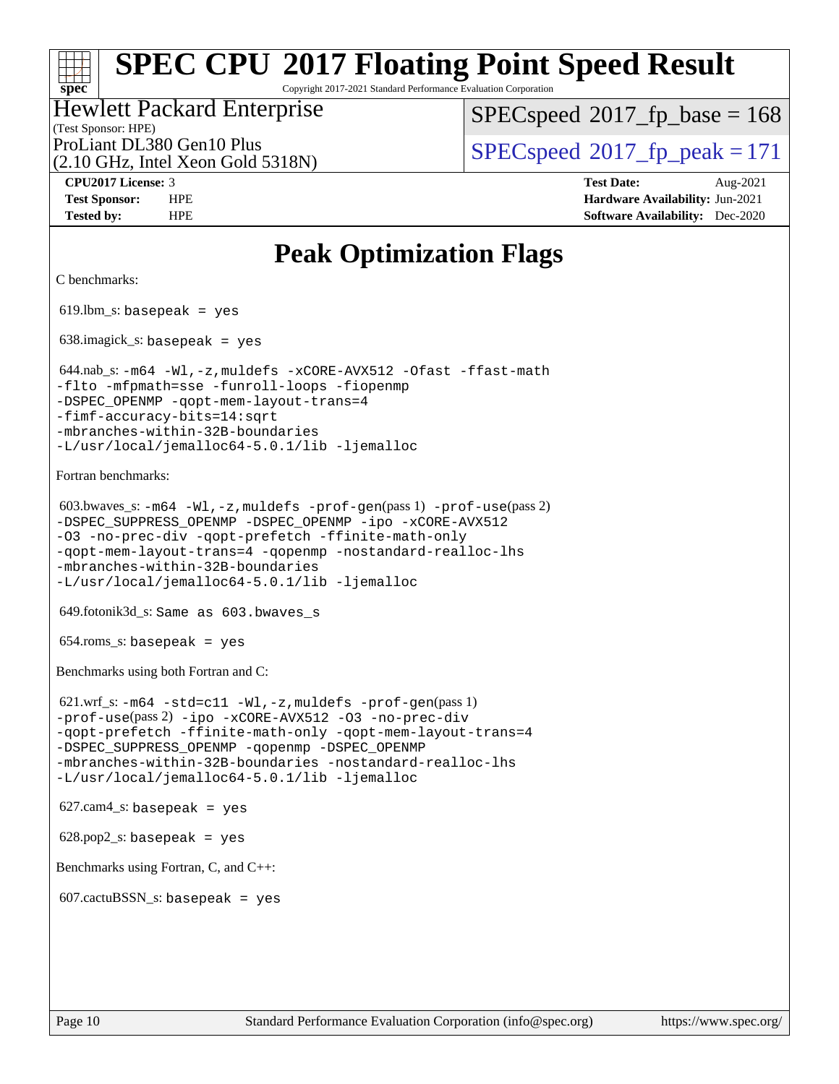Copyright 2017-2021 Standard Performance Evaluation Corporation

### (Test Sponsor: HPE) Hewlett Packard Enterprise

[SPECspeed](http://www.spec.org/auto/cpu2017/Docs/result-fields.html#SPECspeed2017fpbase)<sup>®</sup>2017 fp base = 168

(2.10 GHz, Intel Xeon Gold 5318N)

ProLiant DL380 Gen10 Plus  $\text{SPEC speed}^{\circ}2017\text{ }$  fp\_peak = 171

**[CPU2017 License:](http://www.spec.org/auto/cpu2017/Docs/result-fields.html#CPU2017License)** 3 **[Test Date:](http://www.spec.org/auto/cpu2017/Docs/result-fields.html#TestDate)** Aug-2021 **[Test Sponsor:](http://www.spec.org/auto/cpu2017/Docs/result-fields.html#TestSponsor)** HPE **[Hardware Availability:](http://www.spec.org/auto/cpu2017/Docs/result-fields.html#HardwareAvailability)** Jun-2021 **[Tested by:](http://www.spec.org/auto/cpu2017/Docs/result-fields.html#Testedby)** HPE **[Software Availability:](http://www.spec.org/auto/cpu2017/Docs/result-fields.html#SoftwareAvailability)** Dec-2020

## **[Peak Optimization Flags](http://www.spec.org/auto/cpu2017/Docs/result-fields.html#PeakOptimizationFlags)**

```
C benchmarks:
```
**[spec](http://www.spec.org/)**

 $619.$ lbm\_s: basepeak = yes

638.imagick\_s: basepeak = yes

```
 644.nab_s: -m64 -Wl,-z,muldefs -xCORE-AVX512 -Ofast -ffast-math
-flto -mfpmath=sse -funroll-loops -fiopenmp
-qopt-mem-layout-trans=4
-fimf-accuracy-bits=14:sqrt
-mbranches-within-32B-boundaries
-L/usr/local/jemalloc64-5.0.1/lib -ljemalloc
```
[Fortran benchmarks](http://www.spec.org/auto/cpu2017/Docs/result-fields.html#Fortranbenchmarks):

```
 603.bwaves_s: -m64 -Wl,-z,muldefs -prof-gen(pass 1) -prof-use(pass 2)
-DSPEC_SUPPRESS_OPENMP -DSPEC_OPENMP -ipo -xCORE-AVX512
-O3 -no-prec-div -qopt-prefetch -ffinite-math-only
-qopt-mem-layout-trans=4 -qopenmp -nostandard-realloc-lhs
-mbranches-within-32B-boundaries
-L/usr/local/jemalloc64-5.0.1/lib -ljemalloc
```
649.fotonik3d\_s: Same as 603.bwaves\_s

 $654$ .roms\_s: basepeak = yes

[Benchmarks using both Fortran and C](http://www.spec.org/auto/cpu2017/Docs/result-fields.html#BenchmarksusingbothFortranandC):

```
 621.wrf_s: -m64 -std=c11 -Wl,-z,muldefs -prof-gen(pass 1)
-prof-use(pass 2) -ipo -xCORE-AVX512 -O3 -no-prec-div
-qopt-prefetch -ffinite-math-only -qopt-mem-layout-trans=4
-DSPEC_SUPPRESS_OPENMP -qopenmp -DSPEC_OPENMP
-mbranches-within-32B-boundaries -nostandard-realloc-lhs
-L/usr/local/jemalloc64-5.0.1/lib -ljemalloc
```

```
627.cam4<sub>-</sub>s: basepeak = yes
```
 $628.pop2_s:$  basepeak = yes

[Benchmarks using Fortran, C, and C++:](http://www.spec.org/auto/cpu2017/Docs/result-fields.html#BenchmarksusingFortranCandCXX)

 $607$ .cactuBSSN\_s: basepeak = yes